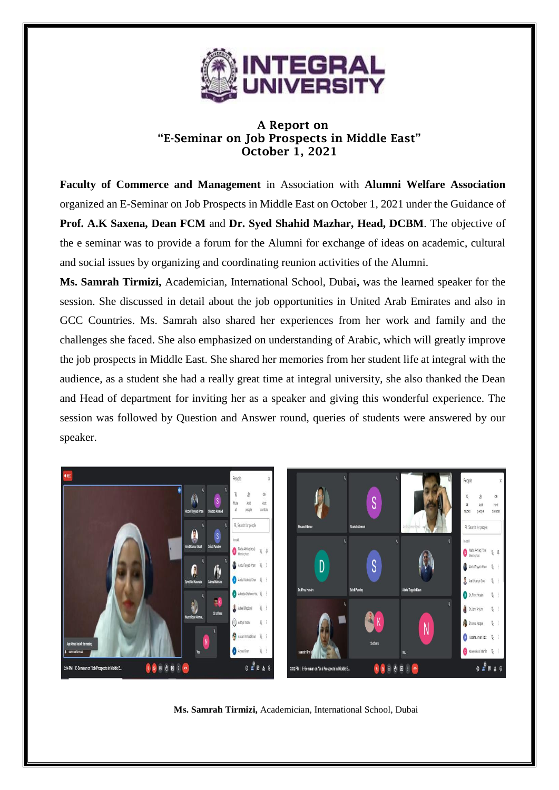

## A Report on "E-Seminar on Job Prospects in Middle East" October 1, 2021

**Faculty of Commerce and Management** in Association with **Alumni Welfare Association** organized an E-Seminar on Job Prospects in Middle East on October 1, 2021 under the Guidance of **Prof. A.K Saxena, Dean FCM** and **Dr. Syed Shahid Mazhar, Head, DCBM**. The objective of the e seminar was to provide a forum for the Alumni for exchange of ideas on academic, cultural and social issues by organizing and coordinating reunion activities of the Alumni.

**Ms. Samrah Tirmizi,** Academician, International School, Dubai**,** was the learned speaker for the session. She discussed in detail about the job opportunities in United Arab Emirates and also in GCC Countries. Ms. Samrah also shared her experiences from her work and family and the challenges she faced. She also emphasized on understanding of Arabic, which will greatly improve the job prospects in Middle East. She shared her memories from her student life at integral with the audience, as a student she had a really great time at integral university, she also thanked the Dean and Head of department for inviting her as a speaker and giving this wonderful experience. The session was followed by Question and Answer round, queries of students were answered by our speaker.



**Ms. Samrah Tirmizi,** Academician, International School, Dubai